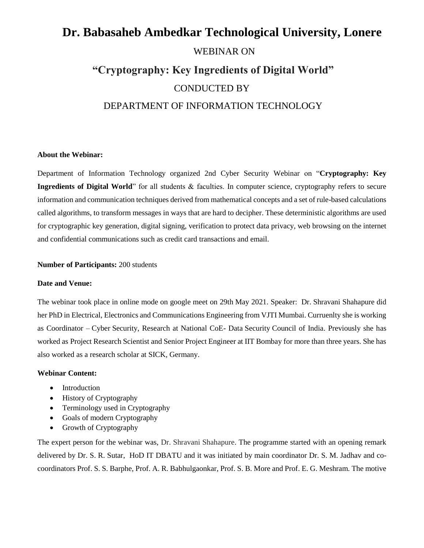# **Dr. Babasaheb Ambedkar Technological University, Lonere** WEBINAR ON **"Cryptography: Key Ingredients of Digital World"** CONDUCTED BY DEPARTMENT OF INFORMATION TECHNOLOGY

#### **About the Webinar:**

Department of Information Technology organized 2nd Cyber Security Webinar on "**Cryptography: Key Ingredients of Digital World**" for all students & faculties. In computer science, cryptography refers to secure information and communication techniques derived from mathematical concepts and a set of rule-based calculations called algorithms, to transform messages in ways that are hard to decipher. These deterministic algorithms are used for cryptographic key generation, digital signing, verification to protect data privacy, web browsing on the internet and confidential communications such as credit card transactions and email.

#### **Number of Participants:** 200 students

#### **Date and Venue:**

The webinar took place in online mode on google meet on 29th May 2021. Speaker: Dr. Shravani Shahapure did her PhD in Electrical, Electronics and Communications Engineering from VJTI Mumbai. Curruenlty she is working as Coordinator – Cyber Security, Research at National CoE- Data Security Council of India. Previously she has worked as Project Research Scientist and Senior Project Engineer at IIT Bombay for more than three years. She has also worked as a research scholar at SICK, Germany.

#### **Webinar Content:**

- Introduction
- History of Cryptography
- Terminology used in Cryptography
- Goals of modern Cryptography
- Growth of Cryptography

The expert person for the webinar was, Dr. Shravani Shahapure. The programme started with an opening remark delivered by Dr. S. R. Sutar, HoD IT DBATU and it was initiated by main coordinator Dr. S. M. Jadhav and cocoordinators Prof. S. S. Barphe, Prof. A. R. Babhulgaonkar, Prof. S. B. More and Prof. E. G. Meshram. The motive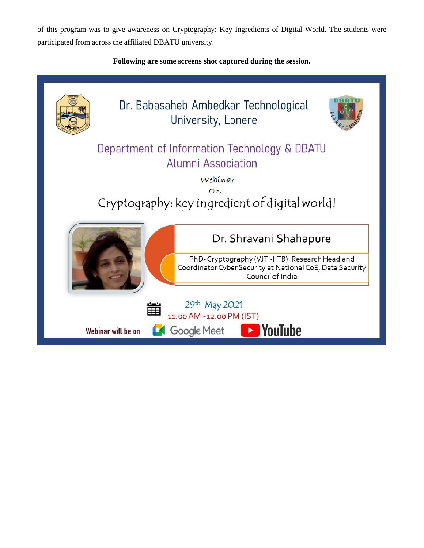of this program was to give awareness on Cryptography: Key Ingredients of Digital World. The students were participated from across the affiliated DBATU university.

## **Following are some screens shot captured during the session.**